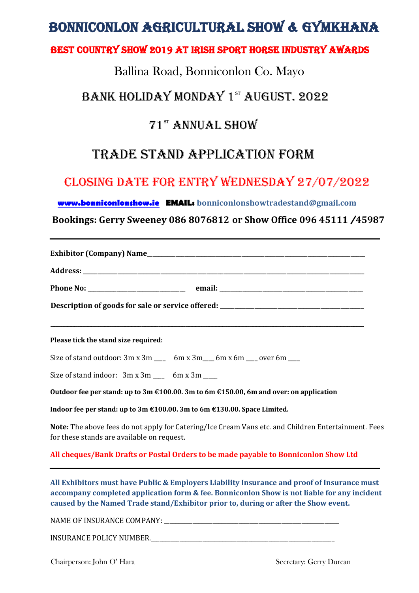# BONNICONLON AGRICULTURAL SHOW & GYMKHANA

#### Best country show 2019 at IRISH SPORT HORSE INDUSTRY AWARDS

#### Ballina Road, Bonniconlon Co. Mayo

#### BANK HOLIDAY MONDAY 1st AUGUST. 2022

### 71st ANNUAL SHOW

## TRADE STAND APPLICATION FORM

### CLOSING DATE FOR ENTRY Wednesday 27/07/2022

#### **[www.bonniconlonshow.ie](http://www.bonniconlonshow.ie/) EMAIL: bonniconlonshowtradestand@gmail.com**

 **Bookings: Gerry Sweeney 086 8076812 or Show Office 096 45111** /**45987** 

| Description of goods for sale or service offered: ______________________________                                                                                                                                                                                                  |
|-----------------------------------------------------------------------------------------------------------------------------------------------------------------------------------------------------------------------------------------------------------------------------------|
|                                                                                                                                                                                                                                                                                   |
|                                                                                                                                                                                                                                                                                   |
|                                                                                                                                                                                                                                                                                   |
| Please tick the stand size required:                                                                                                                                                                                                                                              |
| Size of stand outdoor: 3m x 3m ___ 6m x 3m ___ 6m x 6m ___ over 6m ___                                                                                                                                                                                                            |
| Size of stand indoor: 3m x 3m ___ 6m x 3m ___                                                                                                                                                                                                                                     |
| Outdoor fee per stand: up to $3m \text{ } \text{\textsterling}100.00$ . $3m$ to $6m \text{ } \text{\textsterling}150.00$ , $6m$ and over: on application                                                                                                                          |
| Indoor fee per stand: up to 3m €100.00.3m to 6m €130.00. Space Limited.                                                                                                                                                                                                           |
| Note: The above fees do not apply for Catering/Ice Cream Vans etc. and Children Entertainment. Fees<br>for these stands are available on request.                                                                                                                                 |
| All cheques/Bank Drafts or Postal Orders to be made payable to Bonniconlon Show Ltd                                                                                                                                                                                               |
| All Exhibitors must have Public & Employers Liability Insurance and proof of Insurance must<br>accompany completed application form & fee. Bonniconlon Show is not liable for any incident<br>caused by the Named Trade stand/Exhibitor prior to, during or after the Show event. |
|                                                                                                                                                                                                                                                                                   |
| INSURANCE POLICY NUMBER.                                                                                                                                                                                                                                                          |